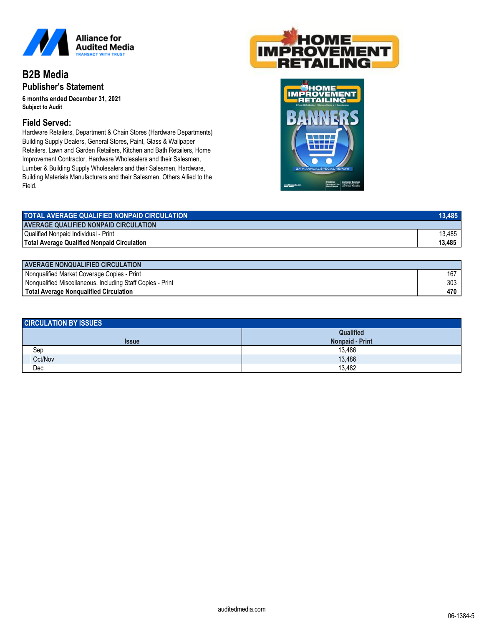

## **B2B Media Publisher's Statement**

**6 months ended December 31, 2021** *Subject to Audit*

## **Field Served:**

Hardware Retailers, Department & Chain Stores (Hardware Departments) Building Supply Dealers, General Stores, Paint, Glass & Wallpaper Retailers, Lawn and Garden Retailers, Kitchen and Bath Retailers, Home Improvement Contractor, Hardware Wholesalers and their Salesmen, Lumber & Building Supply Wholesalers and their Salesmen, Hardware, Building Materials Manufacturers and their Salesmen, Others Allied to the Field.





| TOTAL AVERAGE QUALIFIED NONPAID CIRCULATION  | 13.485 |
|----------------------------------------------|--------|
| <b>AVERAGE QUALIFIED NONPAID CIRCULATION</b> |        |
| <b>Qualified Nonpaid Individual - Print</b>  | 13.485 |
| Total Average Qualified Nonpaid Circulation  | 13,485 |

| I AVERAGE NONQUALIFIED CIRCULATION                         |     |  |
|------------------------------------------------------------|-----|--|
| Nonqualified Market Coverage Copies - Print                | 167 |  |
| Nongualified Miscellaneous, Including Staff Copies - Print | 303 |  |
| Total Average Nongualified Circulation                     | 470 |  |

| <b>CIRCULATION BY ISSUES</b> |              |                        |  |
|------------------------------|--------------|------------------------|--|
|                              |              | Qualified              |  |
|                              | <b>Issue</b> | <b>Nonpaid - Print</b> |  |
|                              | Sep          | 13,486                 |  |
|                              | Oct/Nov      | 13,486                 |  |
|                              | Dec          | 13,482                 |  |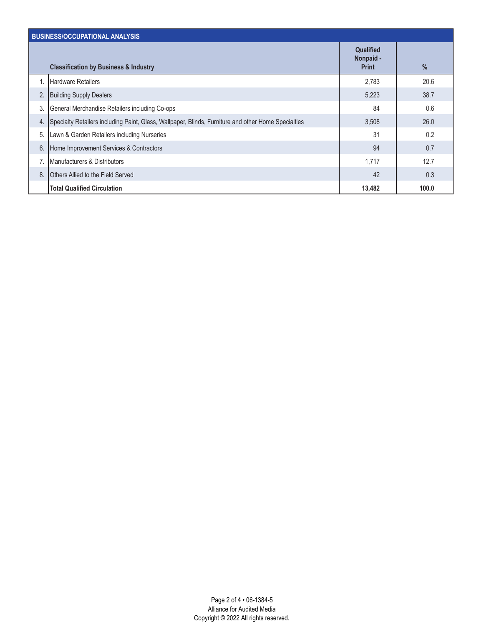| <b>BUSINESS/OCCUPATIONAL ANALYSIS</b> |                                                                                                     |                                               |       |
|---------------------------------------|-----------------------------------------------------------------------------------------------------|-----------------------------------------------|-------|
|                                       | <b>Classification by Business &amp; Industry</b>                                                    | <b>Qualified</b><br>Nonpaid -<br><b>Print</b> | %     |
| 1.                                    | <b>Hardware Retailers</b>                                                                           | 2,783                                         | 20.6  |
| 2.                                    | <b>Building Supply Dealers</b>                                                                      | 5,223                                         | 38.7  |
| 3.                                    | General Merchandise Retailers including Co-ops                                                      | 84                                            | 0.6   |
| 4.                                    | Specialty Retailers including Paint, Glass, Wallpaper, Blinds, Furniture and other Home Specialties | 3,508                                         | 26.0  |
| 5.                                    | Lawn & Garden Retailers including Nurseries                                                         | 31                                            | 0.2   |
| 6.                                    | Home Improvement Services & Contractors                                                             | 94                                            | 0.7   |
|                                       | Manufacturers & Distributors                                                                        | 1,717                                         | 12.7  |
| 8.                                    | Others Allied to the Field Served                                                                   | 42                                            | 0.3   |
|                                       | <b>Total Qualified Circulation</b>                                                                  | 13,482                                        | 100.0 |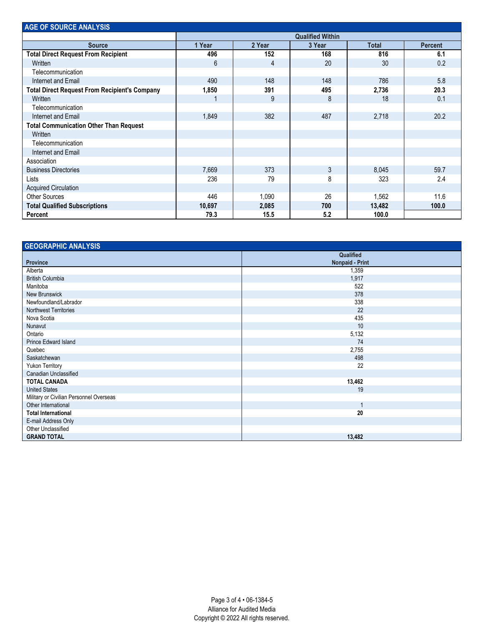| <b>AGE OF SOURCE ANALYSIS</b>                        |                         |        |        |              |                |
|------------------------------------------------------|-------------------------|--------|--------|--------------|----------------|
|                                                      | <b>Qualified Within</b> |        |        |              |                |
| <b>Source</b>                                        | 1 Year                  | 2 Year | 3 Year | <b>Total</b> | <b>Percent</b> |
| <b>Total Direct Request From Recipient</b>           | 496                     | 152    | 168    | 816          | 6.1            |
| Written                                              | 6                       | 4      | 20     | 30           | 0.2            |
| Telecommunication                                    |                         |        |        |              |                |
| Internet and Email                                   | 490                     | 148    | 148    | 786          | 5.8            |
| <b>Total Direct Request From Recipient's Company</b> | 1,850                   | 391    | 495    | 2,736        | 20.3           |
| Written                                              |                         | 9      | 8      | 18           | 0.1            |
| Telecommunication                                    |                         |        |        |              |                |
| Internet and Email                                   | 1,849                   | 382    | 487    | 2,718        | 20.2           |
| <b>Total Communication Other Than Request</b>        |                         |        |        |              |                |
| Written                                              |                         |        |        |              |                |
| Telecommunication                                    |                         |        |        |              |                |
| Internet and Email                                   |                         |        |        |              |                |
| Association                                          |                         |        |        |              |                |
| <b>Business Directories</b>                          | 7,669                   | 373    | 3      | 8,045        | 59.7           |
| Lists                                                | 236                     | 79     | 8      | 323          | 2.4            |
| <b>Acquired Circulation</b>                          |                         |        |        |              |                |
| <b>Other Sources</b>                                 | 446                     | 1,090  | 26     | 1,562        | 11.6           |
| <b>Total Qualified Subscriptions</b>                 | 10,697                  | 2,085  | 700    | 13,482       | 100.0          |
| Percent                                              | 79.3                    | 15.5   | 5.2    | 100.0        |                |

| <b>GEOGRAPHIC ANALYSIS</b>              |                        |  |
|-----------------------------------------|------------------------|--|
|                                         | Qualified              |  |
| <b>Province</b>                         | <b>Nonpaid - Print</b> |  |
| Alberta                                 | 1,359                  |  |
| <b>British Columbia</b>                 | 1,917                  |  |
| Manitoba                                | 522                    |  |
| New Brunswick                           | 378                    |  |
| Newfoundland/Labrador                   | 338                    |  |
| Northwest Territories                   | 22                     |  |
| Nova Scotia                             | 435                    |  |
| Nunavut                                 | 10                     |  |
| Ontario                                 | 5,132                  |  |
| Prince Edward Island                    | 74                     |  |
| Quebec                                  | 2,755                  |  |
| Saskatchewan                            | 498                    |  |
| Yukon Territory                         | 22                     |  |
| Canadian Unclassified                   |                        |  |
| <b>TOTAL CANADA</b>                     | 13,462                 |  |
| <b>United States</b>                    | 19                     |  |
| Military or Civilian Personnel Overseas |                        |  |
| Other International                     |                        |  |
| <b>Total International</b>              | 20                     |  |
| E-mail Address Only                     |                        |  |
| Other Unclassified                      |                        |  |
| <b>GRAND TOTAL</b>                      | 13,482                 |  |